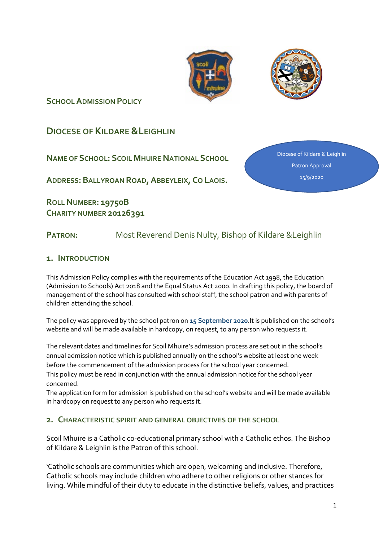



**SCHOOL ADMISSION POLICY** 

**DIOCESE OF KILDARE & EIGHLIN** 

**NAME OF SCHOOL: SCOIL MHUIRE NATIONAL SCHOOL**

**ADDRESS: BALLYROAN ROAD,ABBEYLEIX, CO LAOIS.**

**ROLL NUMBER: 19750B CHARITY NUMBER 20126391** Diocese of Kildare & Leighlin Patron Approval 15/9/2020

**PATRON:** Most Reverend Denis Nulty, Bishop of Kildare &Leighlin

## **1. INTRODUCTION**

This Admission Policy complies with the requirements of the Education Act 1998, the Education (Admission to Schools) Act 2018 and the Equal Status Act 2000. In drafting this policy, the board of management of the school has consulted with school staff, the school patron and with parents of children attending the school.

The policy was approved by the school patron on **15 September 2020**.It is published on the school's website and will be made available in hardcopy, on request, to any person who requests it.

The relevant dates and timelines for Scoil Mhuire's admission process are set out in the school's annual admission notice which is published annually on the school's website at least one week before the commencement of the admission process for the school year concerned.

This policy must be read in conjunction with the annual admission notice for the school year concerned.

The application form for admission is published on the school's website and will be made available in hardcopy on request to any person who requests it.

## **2. CHARACTERISTIC SPIRIT AND GENERAL OBJECTIVES OF THE SCHOOL**

Scoil Mhuire is a Catholic co-educational primary school with a Catholic ethos. The Bishop of Kildare & Leighlin is the Patron of this school.

'Catholic schools are communities which are open, welcoming and inclusive. Therefore, Catholic schools may include children who adhere to other religions or other stances for living. While mindful of their duty to educate in the distinctive beliefs, values, and practices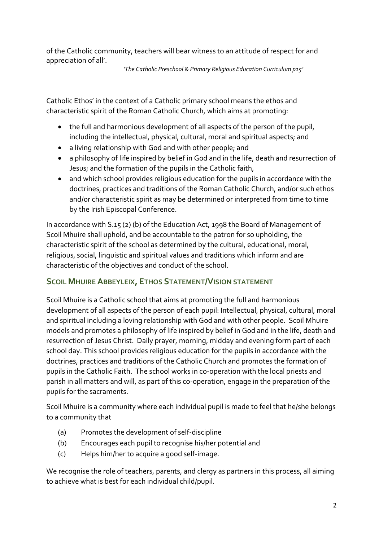of the Catholic community, teachers will bear witness to an attitude of respect for and appreciation of all'.

 *'The Catholic Preschool & Primary Religious Education Curriculum p15'*

Catholic Ethos' in the context of a Catholic primary school means the ethos and characteristic spirit of the Roman Catholic Church, which aims at promoting:

- the full and harmonious development of all aspects of the person of the pupil, including the intellectual, physical, cultural, moral and spiritual aspects; and
- a living relationship with God and with other people; and
- a philosophy of life inspired by belief in God and in the life, death and resurrection of Jesus; and the formation of the pupils in the Catholic faith,
- and which school provides religious education for the pupils in accordance with the doctrines, practices and traditions of the Roman Catholic Church, and/or such ethos and/or characteristic spirit as may be determined or interpreted from time to time by the Irish Episcopal Conference.

In accordance with S.15 (2) (b) of the Education Act, 1998 the Board of Management of Scoil Mhuire shall uphold, and be accountable to the patron for so upholding, the characteristic spirit of the school as determined by the cultural, educational, moral, religious, social, linguistic and spiritual values and traditions which inform and are characteristic of the objectives and conduct of the school.

# **SCOIL MHUIRE ABBEYLEIX, ETHOS STATEMENT/VISION STATEMENT**

Scoil Mhuire is a Catholic school that aims at promoting the full and harmonious development of all aspects of the person of each pupil: Intellectual, physical, cultural, moral and spiritual including a loving relationship with God and with other people. Scoil Mhuire models and promotes a philosophy of life inspired by belief in God and in the life, death and resurrection of Jesus Christ. Daily prayer, morning, midday and evening form part of each school day. This school provides religious education for the pupils in accordance with the doctrines, practices and traditions of the Catholic Church and promotes the formation of pupils in the Catholic Faith. The school works in co-operation with the local priests and parish in all matters and will, as part of this co-operation, engage in the preparation of the pupils for the sacraments.

Scoil Mhuire is a community where each individual pupil is made to feel that he/she belongs to a community that

- (a) Promotes the development of self-discipline
- (b) Encourages each pupil to recognise his/her potential and
- (c) Helps him/her to acquire a good self-image.

We recognise the role of teachers, parents, and clergy as partners in this process, all aiming to achieve what is best for each individual child/pupil.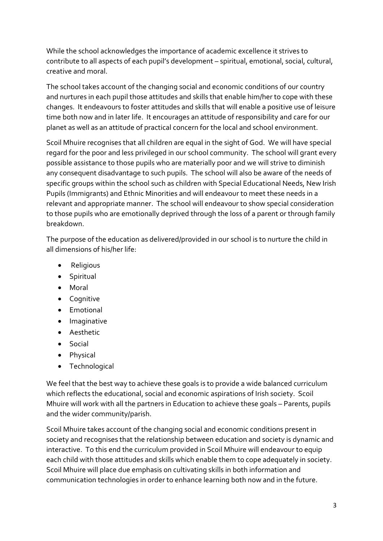While the school acknowledges the importance of academic excellence it strives to contribute to all aspects of each pupil's development – spiritual, emotional, social, cultural, creative and moral.

The school takes account of the changing social and economic conditions of our country and nurtures in each pupil those attitudes and skills that enable him/her to cope with these changes. It endeavours to foster attitudes and skills that will enable a positive use of leisure time both now and in later life. It encourages an attitude of responsibility and care for our planet as well as an attitude of practical concern for the local and school environment.

Scoil Mhuire recognises that all children are equal in the sight of God. We will have special regard for the poor and less privileged in our school community. The school will grant every possible assistance to those pupils who are materially poor and we will strive to diminish any consequent disadvantage to such pupils. The school will also be aware of the needs of specific groups within the school such as children with Special Educational Needs, New Irish Pupils (Immigrants) and Ethnic Minorities and will endeavour to meet these needs in a relevant and appropriate manner. The school will endeavour to show special consideration to those pupils who are emotionally deprived through the loss of a parent or through family breakdown.

The purpose of the education as delivered/provided in our school is to nurture the child in all dimensions of his/her life:

- Religious
- Spiritual
- Moral
- Cognitive
- Emotional
- Imaginative
- Aesthetic
- Social
- Physical
- Technological

We feel that the best way to achieve these goals is to provide a wide balanced curriculum which reflects the educational, social and economic aspirations of Irish society. Scoil Mhuire will work with all the partners in Education to achieve these goals – Parents, pupils and the wider community/parish.

Scoil Mhuire takes account of the changing social and economic conditions present in society and recognises that the relationship between education and society is dynamic and interactive. To this end the curriculum provided in Scoil Mhuire will endeavour to equip each child with those attitudes and skills which enable them to cope adequately in society. Scoil Mhuire will place due emphasis on cultivating skills in both information and communication technologies in order to enhance learning both now and in the future.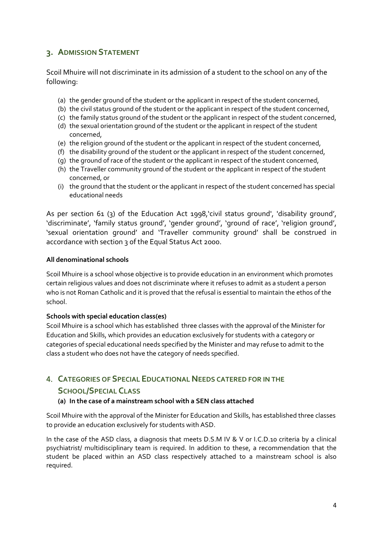## **3. ADMISSION STATEMENT**

Scoil Mhuire will not discriminate in its admission of a student to the school on any of the following:

- (a) the gender ground of the student or the applicant in respect of the student concerned,
- (b) the civil status ground of the student or the applicant in respect of the student concerned,
- (c) the family status ground of the student or the applicant in respect of the student concerned,
- (d) the sexual orientation ground of the student or the applicant in respect of the student concerned,
- (e) the religion ground of the student or the applicant in respect of the student concerned,
- (f) the disability ground of the student or the applicant in respect of the student concerned,
- (g) the ground of race of the student or the applicant in respect of the student concerned,
- (h) the Traveller community ground of the student or the applicant in respect of the student concerned, or
- (i) the ground that the student or the applicant in respect of the student concerned has special educational needs

As per section 61 (3) of the Education Act 1998,'civil status ground', 'disability ground', 'discriminate', 'family status ground', 'gender ground', 'ground of race', 'religion ground', 'sexual orientation ground' and 'Traveller community ground' shall be construed in accordance with section 3 of the Equal Status Act 2000.

#### **All denominational schools**

Scoil Mhuire is a school whose objective is to provide education in an environment which promotes certain religious values and does not discriminate where it refuses to admit as a student a person who is not Roman Catholic and it is proved that the refusal is essential to maintain the ethos of the school.

## **Schools with special education class(es)**

Scoil Mhuire is a school which has established three classes with the approval of the Minister for Education and Skills, which provides an education exclusively for students with a category or categories of special educational needs specified by the Minister and may refuse to admit to the class a student who does not have the category of needs specified.

# 4. **CATEGORIES OF SPECIAL EDUCATIONAL NEEDS CATERED FOR IN THE SCHOOL/SPECIAL CLASS**

#### **(a) In the case of a mainstream school with a SEN class attached**

Scoil Mhuire with the approval of the Minister for Education and Skills, has established three classes to provide an education exclusively for students with ASD.

In the case of the ASD class, a diagnosis that meets D.S.M IV & V or I.C.D.10 criteria by a clinical psychiatrist/ multidisciplinary team is required. In addition to these, a recommendation that the student be placed within an ASD class respectively attached to a mainstream school is also required.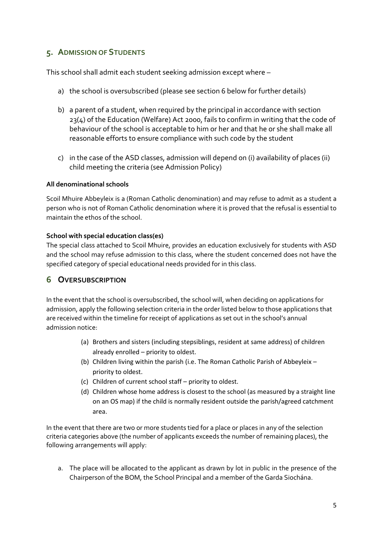## **5. ADMISSION OF STUDENTS**

This school shall admit each student seeking admission except where –

- a) the school is oversubscribed (please see [section 6](#page-4-0) below for further details)
- b) a parent of a student, when required by the principal in accordance with section 23(4) of the Education (Welfare) Act 2000, fails to confirm in writing that the code of behaviour of the school is acceptable to him or her and that he or she shall make all reasonable efforts to ensure compliance with such code by the student
- c) in the case of the ASD classes, admission will depend on (i) availability of places (ii) child meeting the criteria (see Admission Policy)

#### **All denominational schools**

Scoil Mhuire Abbeyleix is a (Roman Catholic denomination) and may refuse to admit as a student a person who is not of Roman Catholic denomination where it is proved that the refusal is essential to maintain the ethos of the school.

#### **School with special education class(es)**

The special class attached to Scoil Mhuire, provides an education exclusively for students with ASD and the school may refuse admission to this class, where the student concerned does not have the specified category of special educational needs provided for in this class.

## <span id="page-4-0"></span>**6 OVERSUBSCRIPTION**

In the event that the school is oversubscribed, the school will, when deciding on applications for admission, apply the following selection criteria in the order listed below to those applications that are received within the timeline for receipt of applications as set out in the school's annual admission notice:

- (a) Brothers and sisters (including stepsiblings, resident at same address) of children already enrolled – priority to oldest.
- (b) Children living within the parish (i.e. The Roman Catholic Parish of Abbeyleix priority to oldest.
- (c) Children of current school staff priority to oldest.
- (d) Children whose home address is closest to the school (as measured by a straight line on an OS map) if the child is normally resident outside the parish/agreed catchment area.

In the event that there are two or more students tied for a place or places in any of the selection criteria categories above (the number of applicants exceeds the number of remaining places), the following arrangements will apply:

a. The place will be allocated to the applicant as drawn by lot in public in the presence of the Chairperson of the BOM, the School Principal and a member of the Garda Siochána.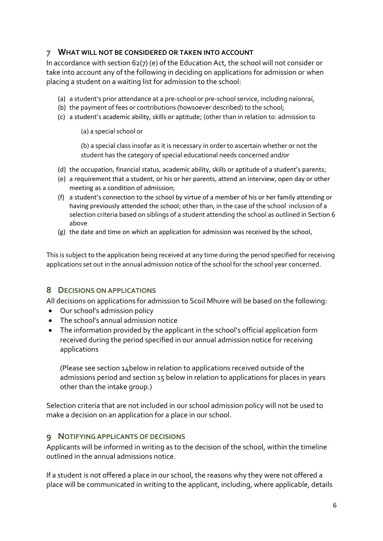## **7 WHAT WILL NOT BE CONSIDERED OR TAKEN INTO ACCOUNT**

In accordance with section 62(7) (e) of the Education Act, the school will not consider or take into account any of the following in deciding on applications for admission or when placing a student on a waiting list for admission to the school:

- (a) a student's prior attendance at a pre-school or pre-school service, including naíonraí,
- (b) the payment of fees or contributions (howsoever described) to the school;
- (c) a student's academic ability, skills or aptitude; (other than in relation to: admission to

(a) a special school or

(b) a special class insofar as it is necessary in order to ascertain whether or not the student has the category of special educational needs concerned and/or

- (d) the occupation, financial status, academic ability, skills or aptitude of a student's parents;
- (e) a requirement that a student, or his or her parents, attend an interview, open day or other meeting as a condition of admission;
- (f) a student's connection to the school by virtue of a member of his or her family attending or having previously attended the school; other than, in the case of the school inclusion of a selection criteria based on siblings of a student attending the school as outlined in Section 6 above
- (g) the date and time on which an application for admission was received by the school,

This is subject to the application being received at any time during the period specified for receiving applications set out in the annual admission notice of the school for the school year concerned.

## **8 DECISIONS ON APPLICATIONS**

All decisions on applications for admission to Scoil Mhuire will be based on the following:

- Our school's admission policy
- The school's annual admission notice
- The information provided by the applicant in the school's official application form received during the period specified in our annual admission notice for receiving applications

(Please see section 14below in relation to applications received outside of the admissions period and section 15 below in relation to applications for places in years other than the intake group.)

Selection criteria that are not included in our school admission policy will not be used to make a decision on an application for a place in our school.

## **9 NOTIFYING APPLICANTS OF DECISIONS**

Applicants will be informed in writing as to the decision of the school, within the timeline outlined in the annual admissions notice.

If a student is not offered a place in our school, the reasons why they were not offered a place will be communicated in writing to the applicant, including, where applicable, details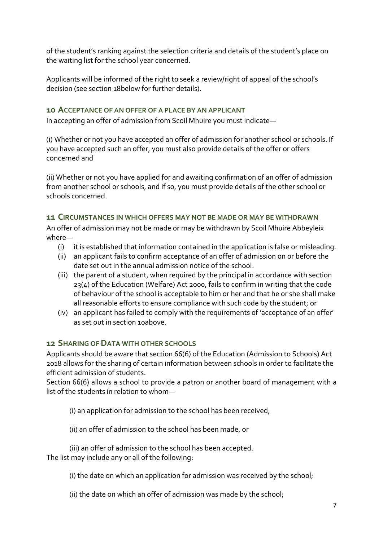of the student's ranking against the selection criteria and details of the student's place on the waiting list for the school year concerned.

Applicants will be informed of the right to seek a review/right of appeal of the school's decision (see section 18below for further details).

## **10 ACCEPTANCE OF AN OFFER OF A PLACE BY AN APPLICANT**

In accepting an offer of admission from Scoil Mhuire you must indicate—

(i) Whether or not you have accepted an offer of admission for another school or schools. If you have accepted such an offer, you must also provide details of the offer or offers concerned and

(ii) Whether or not you have applied for and awaiting confirmation of an offer of admission from another school or schools, and if so, you must provide details of the other school or schools concerned.

#### **11 CIRCUMSTANCES IN WHICH OFFERS MAY NOT BE MADE OR MAY BE WITHDRAWN**

An offer of admission may not be made or may be withdrawn by Scoil Mhuire Abbeyleix where—

- (i) it is established that information contained in the application is false or misleading.
- (ii) an applicant fails to confirm acceptance of an offer of admission on or before the date set out in the annual admission notice of the school.
- (iii) the parent of a student, when required by the principal in accordance with section 23(4) of the Education (Welfare) Act 2000, fails to confirm in writing that the code of behaviour of the school is acceptable to him or her and that he or she shall make all reasonable efforts to ensure compliance with such code by the student; or
- (iv) an applicant has failed to comply with the requirements of 'acceptance of an offer' as set out in section 10above.

## **12 SHARING OF DATA WITH OTHER SCHOOLS**

Applicants should be aware that section 66(6) of the Education (Admission to Schools) Act 2018 allows for the sharing of certain information between schools in order to facilitate the efficient admission of students.

Section 66(6) allows a school to provide a patron or another board of management with a list of the students in relation to whom—

(i) an application for admission to the school has been received,

(ii) an offer of admission to the school has been made, or

(iii) an offer of admission to the school has been accepted. The list may include any or all of the following:

(i) the date on which an application for admission was received by the school;

(ii) the date on which an offer of admission was made by the school;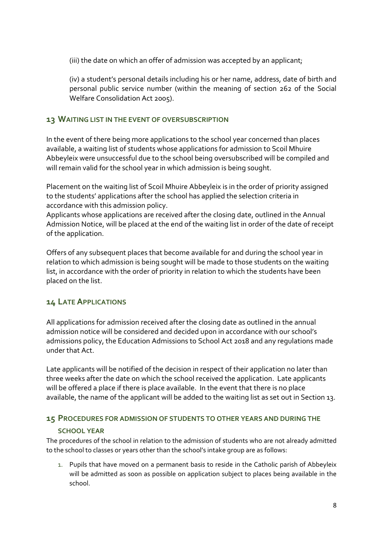(iii) the date on which an offer of admission was accepted by an applicant;

(iv) a student's personal details including his or her name, address, date of birth and personal public service number (within the meaning of section 262 of the Social Welfare Consolidation Act 2005).

## **13 WAITING LIST IN THE EVENT OF OVERSUBSCRIPTION**

In the event of there being more applications to the school year concerned than places available, a waiting list of students whose applications for admission to Scoil Mhuire Abbeyleix were unsuccessful due to the school being oversubscribed will be compiled and will remain valid for the school year in which admission is being sought.

Placement on the waiting list of Scoil Mhuire Abbeyleix is in the order of priority assigned to the students' applications after the school has applied the selection criteria in accordance with this admission policy.

Applicants whose applications are received after the closing date, outlined in the Annual Admission Notice, will be placed at the end of the waiting list in order of the date of receipt of the application.

Offers of any subsequent places that become available for and during the school year in relation to which admission is being sought will be made to those students on the waiting list, in accordance with the order of priority in relation to which the students have been placed on the list.

## **14 LATE APPLICATIONS**

All applications for admission received after the closing date as outlined in the annual admission notice will be considered and decided upon in accordance with our school's admissions policy, the Education Admissions to School Act 2018 and any regulations made under that Act.

Late applicants will be notified of the decision in respect of their application no later than three weeks after the date on which the school received the application. Late applicants will be offered a place if there is place available. In the event that there is no place available, the name of the applicant will be added to the waiting list as set out in Section 13.

# **15 PROCEDURES FOR ADMISSION OF STUDENTS TO OTHER YEARS AND DURING THE**

## **SCHOOL YEAR**

The procedures of the school in relation to the admission of students who are not already admitted to the school to classes or years other than the school's intake group are as follows:

1. Pupils that have moved on a permanent basis to reside in the Catholic parish of Abbeyleix will be admitted as soon as possible on application subject to places being available in the school.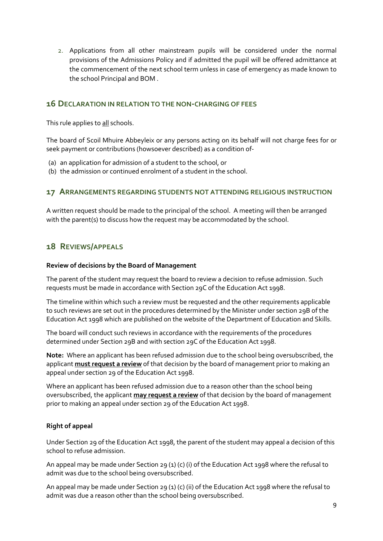2. Applications from all other mainstream pupils will be considered under the normal provisions of the Admissions Policy and if admitted the pupil will be offered admittance at the commencement of the next school term unless in case of emergency as made known to the school Principal and BOM .

#### **16 DECLARATION IN RELATION TO THE NON-CHARGING OF FEES**

This rule applies to all schools.

The board of Scoil Mhuire Abbeyleix or any persons acting on its behalf will not charge fees for or seek payment or contributions (howsoever described) as a condition of-

- (a) an application for admission of a student to the school, or
- (b) the admission or continued enrolment of a student in the school.

#### **17 ARRANGEMENTS REGARDING STUDENTS NOT ATTENDING RELIGIOUS INSTRUCTION**

A written request should be made to the principal of the school. A meeting will then be arranged with the parent(s) to discuss how the request may be accommodated by the school.

## **18 REVIEWS/APPEALS**

#### **Review of decisions by the Board of Management**

The parent of the student may request the board to review a decision to refuse admission. Such requests must be made in accordance with Section 29C of the Education Act 1998.

The timeline within which such a review must be requested and the other requirements applicable to such reviews are set out in the procedures determined by the Minister under section 29B of the Education Act 1998 which are published on the website of the Department of Education and Skills.

The board will conduct such reviews in accordance with the requirements of the procedures determined under Section 29B and with section 29C of the Education Act 1998.

**Note:** Where an applicant has been refused admission due to the school being oversubscribed, the applicant **must request a review** of that decision by the board of management prior to making an appeal under section 29 of the Education Act 1998.

Where an applicant has been refused admission due to a reason other than the school being oversubscribed, the applicant **may request a review** of that decision by the board of management prior to making an appeal under section 29 of the Education Act 1998.

#### **Right of appeal**

Under Section 29 of the Education Act 1998, the parent of the student may appeal a decision of this school to refuse admission.

An appeal may be made under Section 29 (1) (c) (i) of the Education Act 1998 where the refusal to admit was due to the school being oversubscribed.

An appeal may be made under Section 29 (1) (c) (ii) of the Education Act 1998 where the refusal to admit was due a reason other than the school being oversubscribed.